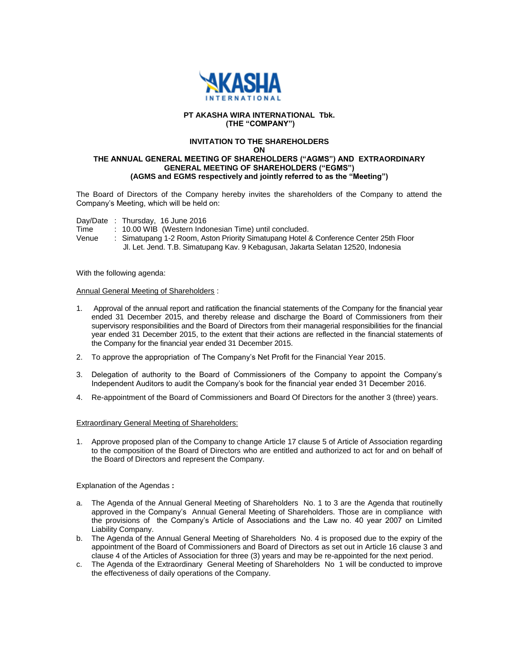

## **PT AKASHA WIRA INTERNATIONAL Tbk. (THE "COMPANY")**

# **INVITATION TO THE SHAREHOLDERS**

**ON**

### **THE ANNUAL GENERAL MEETING OF SHAREHOLDERS ("AGMS") AND EXTRAORDINARY GENERAL MEETING OF SHAREHOLDERS ("EGMS") (AGMS and EGMS respectively and jointly referred to as the "Meeting")**

The Board of Directors of the Company hereby invites the shareholders of the Company to attend the Company's Meeting, which will be held on:

Day/Date : Thursday, 16 June 2016

- Time : 10.00 WIB (Western Indonesian Time) until concluded.<br>Venue : Simatupang 1-2 Room, Aston Priority Simatupang Hotel &
	- : Simatupang 1-2 Room, Aston Priority Simatupang Hotel & Conference Center 25th Floor Jl. Let. Jend. T.B. Simatupang Kav. 9 Kebagusan, Jakarta Selatan 12520, Indonesia

With the following agenda:

#### Annual General Meeting of Shareholders :

- 1. Approval of the annual report and ratification the financial statements of the Company for the financial year ended 31 December 2015, and thereby release and discharge the Board of Commissioners from their supervisory responsibilities and the Board of Directors from their managerial responsibilities for the financial year ended 31 December 2015, to the extent that their actions are reflected in the financial statements of the Company for the financial year ended 31 December 2015.
- 2. To approve the appropriation of The Company's Net Profit for the Financial Year 2015.
- 3. Delegation of authority to the Board of Commissioners of the Company to appoint the Company's Independent Auditors to audit the Company's book for the financial year ended 31 December 2016.
- 4. Re-appointment of the Board of Commissioners and Board Of Directors for the another 3 (three) years.

## Extraordinary General Meeting of Shareholders:

1. Approve proposed plan of the Company to change Article 17 clause 5 of Article of Association regarding to the composition of the Board of Directors who are entitled and authorized to act for and on behalf of the Board of Directors and represent the Company.

Explanation of the Agendas **:** 

- a. The Agenda of the Annual General Meeting of Shareholders No. 1 to 3 are the Agenda that routinelly approved in the Company's Annual General Meeting of Shareholders. Those are in compliance with the provisions of the Company's Article of Associations and the Law no. 40 year 2007 on Limited Liability Company.
- b. The Agenda of the Annual General Meeting of Shareholders No. 4 is proposed due to the expiry of the appointment of the Board of Commissioners and Board of Directors as set out in Article 16 clause 3 and clause 4 of the Articles of Association for three (3) years and may be re-appointed for the next period.
- c. The Agenda of the Extraordinary General Meeting of Shareholders No 1 will be conducted to improve the effectiveness of daily operations of the Company.